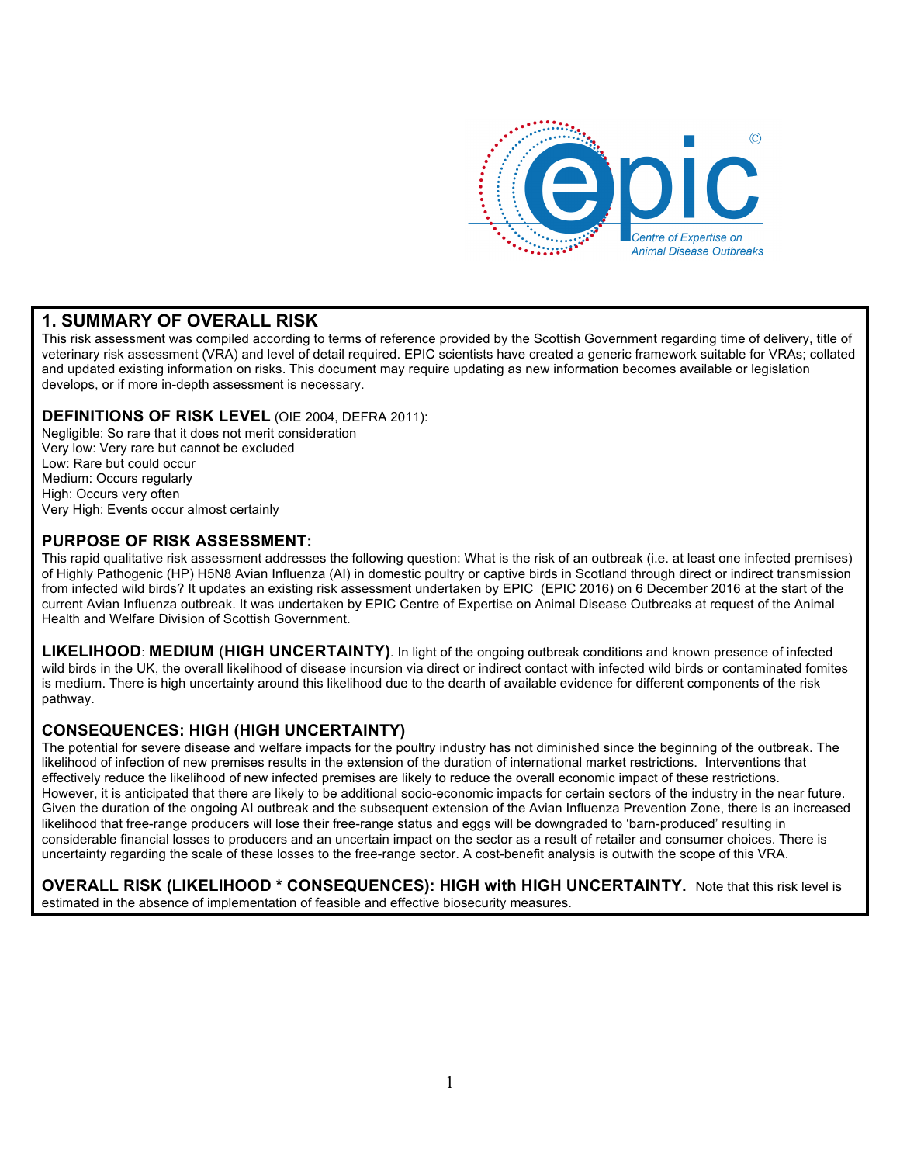

### **1. SUMMARY OF OVERALL RISK**

This risk assessment was compiled according to terms of reference provided by the Scottish Government regarding time of delivery, title of veterinary risk assessment (VRA) and level of detail required. EPIC scientists have created a generic framework suitable for VRAs; collated and updated existing information on risks. This document may require updating as new information becomes available or legislation develops, or if more in-depth assessment is necessary.

#### **DEFINITIONS OF RISK LEVEL** (OIE 2004, DEFRA 2011):

Negligible: So rare that it does not merit consideration Very low: Very rare but cannot be excluded Low: Rare but could occur Medium: Occurs regularly High: Occurs very often Very High: Events occur almost certainly

#### **PURPOSE OF RISK ASSESSMENT:**

This rapid qualitative risk assessment addresses the following question: What is the risk of an outbreak (i.e. at least one infected premises) of Highly Pathogenic (HP) H5N8 Avian Influenza (AI) in domestic poultry or captive birds in Scotland through direct or indirect transmission from infected wild birds? It updates an existing risk assessment undertaken by EPIC (EPIC 2016) on 6 December 2016 at the start of the current Avian Influenza outbreak. It was undertaken by EPIC Centre of Expertise on Animal Disease Outbreaks at request of the Animal Health and Welfare Division of Scottish Government.

**LIKELIHOOD**: **MEDIUM** (**HIGH UNCERTAINTY)**. In light of the ongoing outbreak conditions and known presence of infected wild birds in the UK, the overall likelihood of disease incursion via direct or indirect contact with infected wild birds or contaminated fomites is medium. There is high uncertainty around this likelihood due to the dearth of available evidence for different components of the risk pathway.

#### **CONSEQUENCES: HIGH (HIGH UNCERTAINTY)**

The potential for severe disease and welfare impacts for the poultry industry has not diminished since the beginning of the outbreak. The likelihood of infection of new premises results in the extension of the duration of international market restrictions. Interventions that effectively reduce the likelihood of new infected premises are likely to reduce the overall economic impact of these restrictions. However, it is anticipated that there are likely to be additional socio-economic impacts for certain sectors of the industry in the near future. Given the duration of the ongoing AI outbreak and the subsequent extension of the Avian Influenza Prevention Zone, there is an increased likelihood that free-range producers will lose their free-range status and eggs will be downgraded to 'barn-produced' resulting in considerable financial losses to producers and an uncertain impact on the sector as a result of retailer and consumer choices. There is uncertainty regarding the scale of these losses to the free-range sector. A cost-benefit analysis is outwith the scope of this VRA.

**OVERALL RISK (LIKELIHOOD \* CONSEQUENCES): HIGH with HIGH UNCERTAINTY.** Note that this risk level is estimated in the absence of implementation of feasible and effective biosecurity measures.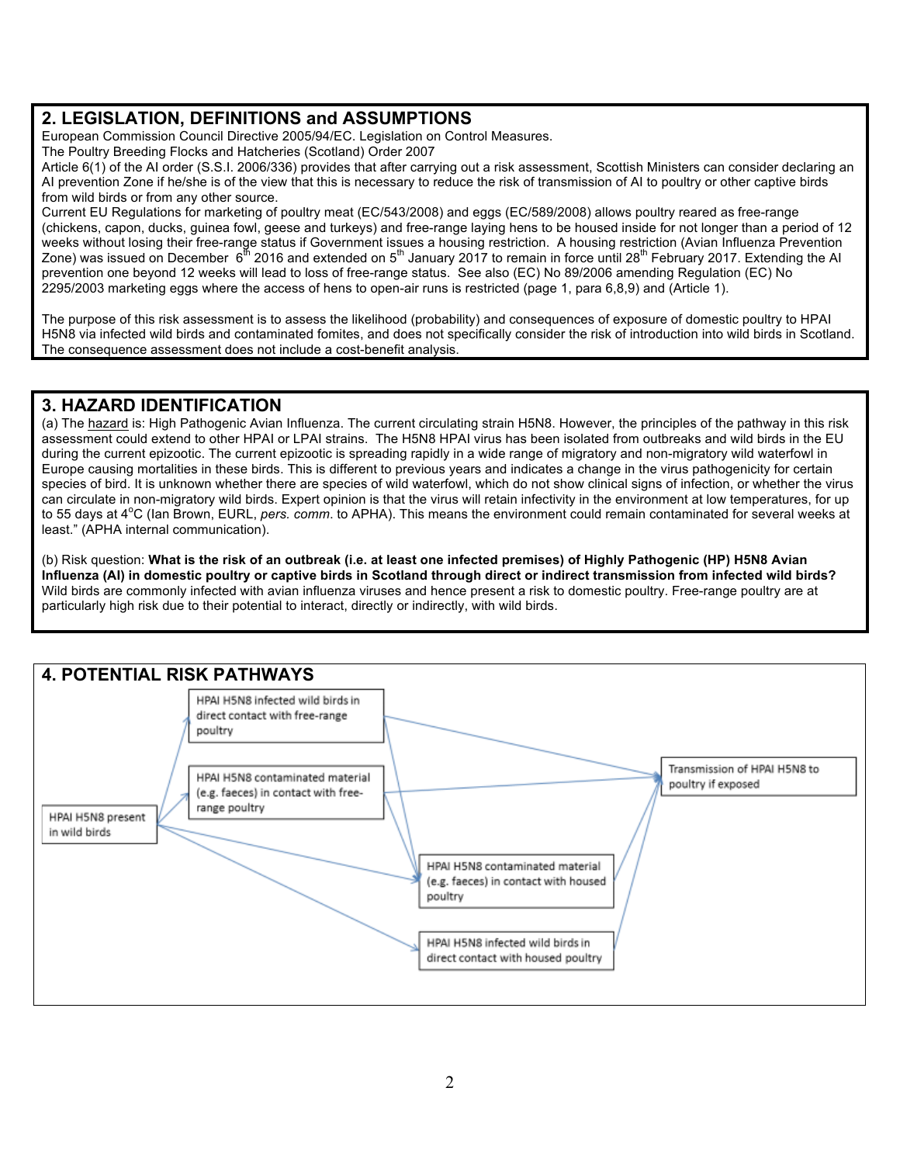## **2. LEGISLATION, DEFINITIONS and ASSUMPTIONS**

European Commission Council Directive 2005/94/EC. Legislation on Control Measures.

The Poultry Breeding Flocks and Hatcheries (Scotland) Order 2007

Article 6(1) of the AI order (S.S.I. 2006/336) provides that after carrying out a risk assessment, Scottish Ministers can consider declaring an AI prevention Zone if he/she is of the view that this is necessary to reduce the risk of transmission of AI to poultry or other captive birds from wild birds or from any other source.

Current EU Regulations for marketing of poultry meat (EC/543/2008) and eggs (EC/589/2008) allows poultry reared as free-range (chickens, capon, ducks, guinea fowl, geese and turkeys) and free-range laying hens to be housed inside for not longer than a period of 12 weeks without losing their free-range status if Government issues a housing restriction. A housing restriction (Avian Influenza Prevention Zone) was issued on December 6<sup>th</sup> 2016 and extended on 5<sup>th</sup> January 2017 to remain in force until 28<sup>th</sup> February 2017. Extending the AI prevention one beyond 12 weeks will lead to loss of free-range status. See also (EC) No 89/2006 amending Regulation (EC) No 2295/2003 marketing eggs where the access of hens to open-air runs is restricted (page 1, para 6,8,9) and (Article 1).

The purpose of this risk assessment is to assess the likelihood (probability) and consequences of exposure of domestic poultry to HPAI H5N8 via infected wild birds and contaminated fomites, and does not specifically consider the risk of introduction into wild birds in Scotland. The consequence assessment does not include a cost-benefit analysis.

### **3. HAZARD IDENTIFICATION**

(a) The hazard is: High Pathogenic Avian Influenza. The current circulating strain H5N8. However, the principles of the pathway in this risk assessment could extend to other HPAI or LPAI strains. The H5N8 HPAI virus has been isolated from outbreaks and wild birds in the EU during the current epizootic. The current epizootic is spreading rapidly in a wide range of migratory and non-migratory wild waterfowl in Europe causing mortalities in these birds. This is different to previous years and indicates a change in the virus pathogenicity for certain species of bird. It is unknown whether there are species of wild waterfowl, which do not show clinical signs of infection, or whether the virus can circulate in non-migratory wild birds. Expert opinion is that the virus will retain infectivity in the environment at low temperatures, for up to 55 days at 4<sup>o</sup>C (Ian Brown, EURL, *pers. comm.* to APHA). This means the environment could remain contaminated for several weeks at least." (APHA internal communication).

(b) Risk question: **What is the risk of an outbreak (i.e. at least one infected premises) of Highly Pathogenic (HP) H5N8 Avian Influenza (AI) in domestic poultry or captive birds in Scotland through direct or indirect transmission from infected wild birds?** Wild birds are commonly infected with avian influenza viruses and hence present a risk to domestic poultry. Free-range poultry are at particularly high risk due to their potential to interact, directly or indirectly, with wild birds.

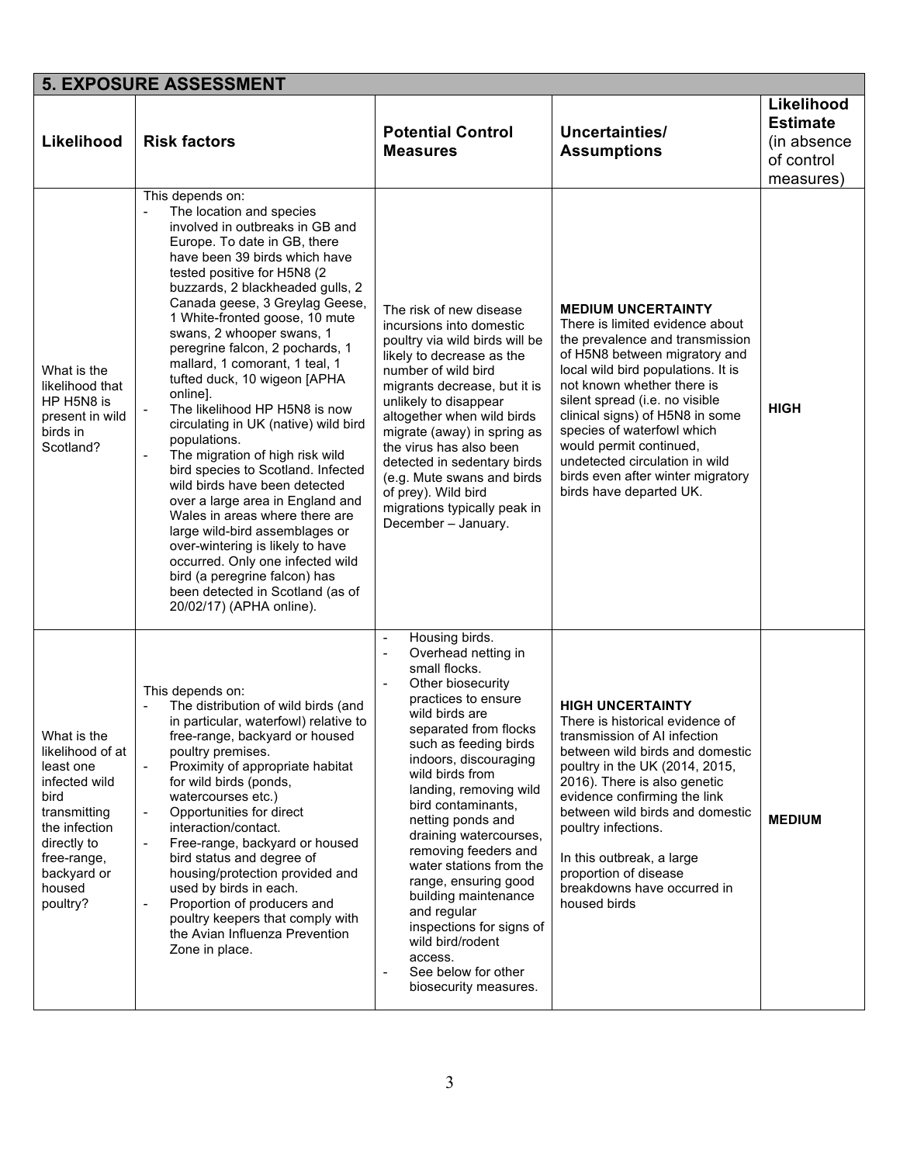|                                                                                                                                                                           | <b>5. EXPOSURE ASSESSMENT</b>                                                                                                                                                                                                                                                                                                                                                                                                                                                                                                                                                                                                                                                                                                                                                                                                                                                                                                                                  |                                                                                                                                                                                                                                                                                                                                                                                                                                                                                                                                                                                              |                                                                                                                                                                                                                                                                                                                                                                                                                                      |                                                                          |
|---------------------------------------------------------------------------------------------------------------------------------------------------------------------------|----------------------------------------------------------------------------------------------------------------------------------------------------------------------------------------------------------------------------------------------------------------------------------------------------------------------------------------------------------------------------------------------------------------------------------------------------------------------------------------------------------------------------------------------------------------------------------------------------------------------------------------------------------------------------------------------------------------------------------------------------------------------------------------------------------------------------------------------------------------------------------------------------------------------------------------------------------------|----------------------------------------------------------------------------------------------------------------------------------------------------------------------------------------------------------------------------------------------------------------------------------------------------------------------------------------------------------------------------------------------------------------------------------------------------------------------------------------------------------------------------------------------------------------------------------------------|--------------------------------------------------------------------------------------------------------------------------------------------------------------------------------------------------------------------------------------------------------------------------------------------------------------------------------------------------------------------------------------------------------------------------------------|--------------------------------------------------------------------------|
| Likelihood                                                                                                                                                                | <b>Risk factors</b>                                                                                                                                                                                                                                                                                                                                                                                                                                                                                                                                                                                                                                                                                                                                                                                                                                                                                                                                            | <b>Potential Control</b><br><b>Measures</b>                                                                                                                                                                                                                                                                                                                                                                                                                                                                                                                                                  | Uncertainties/<br><b>Assumptions</b>                                                                                                                                                                                                                                                                                                                                                                                                 | Likelihood<br><b>Estimate</b><br>(in absence)<br>of control<br>measures) |
| What is the<br>likelihood that<br>HP H5N8 is<br>present in wild<br>birds in<br>Scotland?                                                                                  | This depends on:<br>The location and species<br>involved in outbreaks in GB and<br>Europe. To date in GB, there<br>have been 39 birds which have<br>tested positive for H5N8 (2)<br>buzzards, 2 blackheaded gulls, 2<br>Canada geese, 3 Greylag Geese,<br>1 White-fronted goose, 10 mute<br>swans, 2 whooper swans, 1<br>peregrine falcon, 2 pochards, 1<br>mallard, 1 comorant, 1 teal, 1<br>tufted duck, 10 wigeon [APHA<br>online].<br>The likelihood HP H5N8 is now<br>$\blacksquare$<br>circulating in UK (native) wild bird<br>populations.<br>The migration of high risk wild<br>$\blacksquare$<br>bird species to Scotland. Infected<br>wild birds have been detected<br>over a large area in England and<br>Wales in areas where there are<br>large wild-bird assemblages or<br>over-wintering is likely to have<br>occurred. Only one infected wild<br>bird (a peregrine falcon) has<br>been detected in Scotland (as of<br>20/02/17) (APHA online). | The risk of new disease<br>incursions into domestic<br>poultry via wild birds will be<br>likely to decrease as the<br>number of wild bird<br>migrants decrease, but it is<br>unlikely to disappear<br>altogether when wild birds<br>migrate (away) in spring as<br>the virus has also been<br>detected in sedentary birds<br>(e.g. Mute swans and birds<br>of prey). Wild bird<br>migrations typically peak in<br>December - January.                                                                                                                                                        | <b>MEDIUM UNCERTAINTY</b><br>There is limited evidence about<br>the prevalence and transmission<br>of H5N8 between migratory and<br>local wild bird populations. It is<br>not known whether there is<br>silent spread (i.e. no visible<br>clinical signs) of H5N8 in some<br>species of waterfowl which<br>would permit continued,<br>undetected circulation in wild<br>birds even after winter migratory<br>birds have departed UK. | <b>HIGH</b>                                                              |
| What is the<br>likelihood of at<br>least one<br>infected wild<br>bird<br>transmitting<br>the infection<br>directly to<br>free-range,<br>backyard or<br>housed<br>poultry? | This depends on:<br>The distribution of wild birds (and<br>in particular, waterfowl) relative to<br>tree-range, backyard or housed<br>poultry premises.<br>Proximity of appropriate habitat<br>$\mathbb{L}$<br>for wild birds (ponds,<br>watercourses etc.)<br>Opportunities for direct<br>$\overline{\phantom{a}}$<br>interaction/contact.<br>Free-range, backyard or housed<br>bird status and degree of<br>housing/protection provided and<br>used by birds in each.<br>Proportion of producers and<br>$\blacksquare$<br>poultry keepers that comply with<br>the Avian Influenza Prevention<br>Zone in place.                                                                                                                                                                                                                                                                                                                                               | Housing birds.<br>$\overline{\phantom{a}}$<br>Overhead netting in<br>$\blacksquare$<br>small flocks.<br>Other biosecurity<br>practices to ensure<br>wild birds are<br>separated from flocks<br>such as feeding birds<br>indoors, discouraging<br>wild birds from<br>landing, removing wild<br>bird contaminants,<br>netting ponds and<br>draining watercourses,<br>removing feeders and<br>water stations from the<br>range, ensuring good<br>building maintenance<br>and regular<br>inspections for signs of<br>wild bird/rodent<br>access.<br>See below for other<br>biosecurity measures. | <b>HIGH UNCERTAINTY</b><br>There is historical evidence of<br>transmission of AI infection<br>between wild birds and domestic<br>poultry in the UK (2014, 2015,<br>2016). There is also genetic<br>evidence confirming the link<br>between wild birds and domestic<br>poultry infections.<br>In this outbreak, a large<br>proportion of disease<br>breakdowns have occurred in<br>housed birds                                       | <b>MEDIUM</b>                                                            |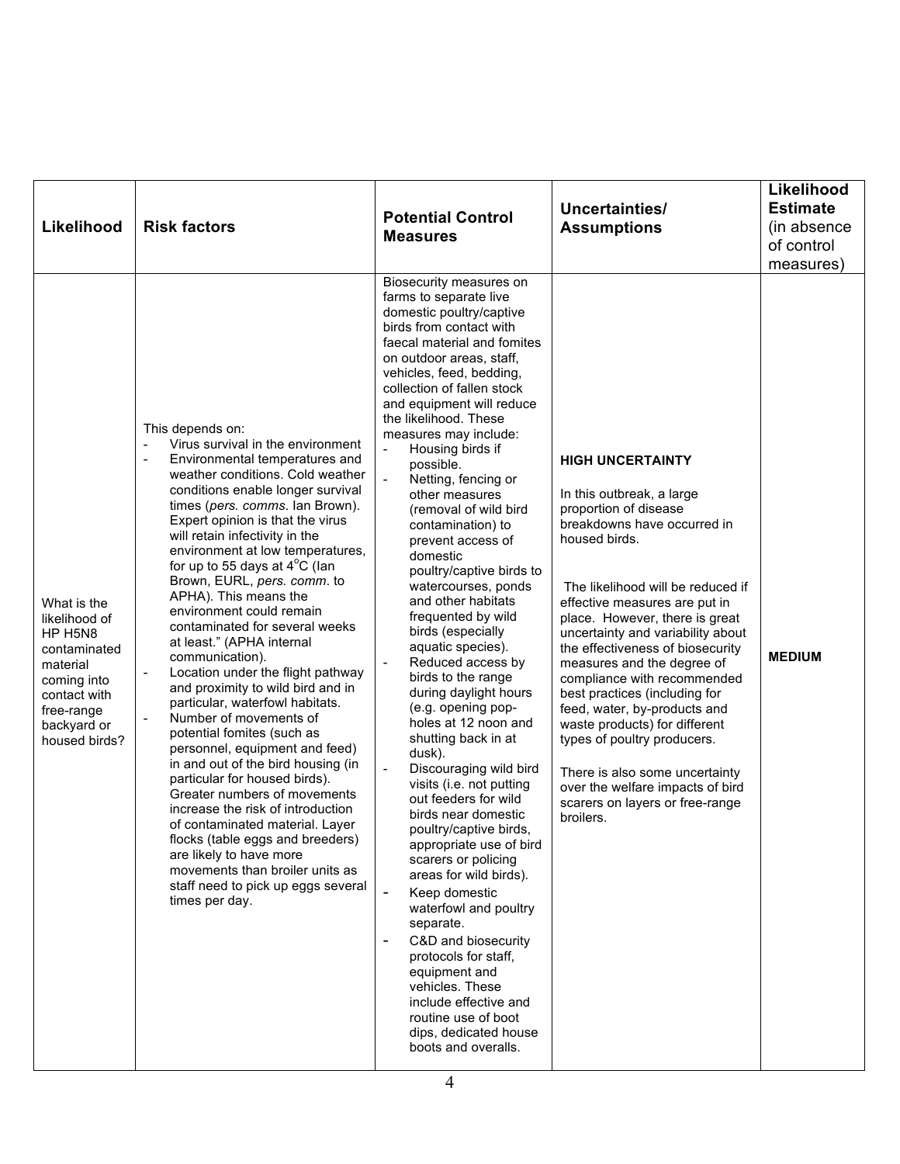| Likelihood                                                                                                                                       | <b>Risk factors</b>                                                                                                                                                                                                                                                                                                                                                                                                                                                                                                                                                                                                                                                                                                                                                                                                                                                                                                                                                                                                                                                                              | <b>Potential Control</b><br><b>Measures</b>                                                                                                                                                                                                                                                                                                                                                                                                                                                                                                                                                                                                                                                                                                                                                                                                                                                                                                                                                                                                                                                                                                                                                                                                                                                                        | Uncertainties/<br><b>Assumptions</b>                                                                                                                                                                                                                                                                                                                                                                                                                                                                                                                                                                                               | Likelihood<br><b>Estimate</b><br>(in absence)<br>of control<br>measures) |
|--------------------------------------------------------------------------------------------------------------------------------------------------|--------------------------------------------------------------------------------------------------------------------------------------------------------------------------------------------------------------------------------------------------------------------------------------------------------------------------------------------------------------------------------------------------------------------------------------------------------------------------------------------------------------------------------------------------------------------------------------------------------------------------------------------------------------------------------------------------------------------------------------------------------------------------------------------------------------------------------------------------------------------------------------------------------------------------------------------------------------------------------------------------------------------------------------------------------------------------------------------------|--------------------------------------------------------------------------------------------------------------------------------------------------------------------------------------------------------------------------------------------------------------------------------------------------------------------------------------------------------------------------------------------------------------------------------------------------------------------------------------------------------------------------------------------------------------------------------------------------------------------------------------------------------------------------------------------------------------------------------------------------------------------------------------------------------------------------------------------------------------------------------------------------------------------------------------------------------------------------------------------------------------------------------------------------------------------------------------------------------------------------------------------------------------------------------------------------------------------------------------------------------------------------------------------------------------------|------------------------------------------------------------------------------------------------------------------------------------------------------------------------------------------------------------------------------------------------------------------------------------------------------------------------------------------------------------------------------------------------------------------------------------------------------------------------------------------------------------------------------------------------------------------------------------------------------------------------------------|--------------------------------------------------------------------------|
| What is the<br>likelihood of<br>HP H5N8<br>contaminated<br>material<br>coming into<br>contact with<br>free-range<br>backyard or<br>housed birds? | This depends on:<br>Virus survival in the environment<br>Environmental temperatures and<br>$\overline{a}$<br>weather conditions. Cold weather<br>conditions enable longer survival<br>times (pers. comms. Ian Brown).<br>Expert opinion is that the virus<br>will retain infectivity in the<br>environment at low temperatures,<br>for up to 55 days at $4^{\circ}$ C (lan<br>Brown, EURL, pers. comm. to<br>APHA). This means the<br>environment could remain<br>contaminated for several weeks<br>at least." (APHA internal<br>communication).<br>Location under the flight pathway<br>and proximity to wild bird and in<br>particular, waterfowl habitats.<br>Number of movements of<br>potential fomites (such as<br>personnel, equipment and feed)<br>in and out of the bird housing (in<br>particular for housed birds).<br>Greater numbers of movements<br>increase the risk of introduction<br>of contaminated material. Layer<br>flocks (table eggs and breeders)<br>are likely to have more<br>movements than broiler units as<br>staff need to pick up eggs several<br>times per day. | Biosecurity measures on<br>farms to separate live<br>domestic poultry/captive<br>birds from contact with<br>faecal material and fomites<br>on outdoor areas, staff,<br>vehicles, feed, bedding,<br>collection of fallen stock<br>and equipment will reduce<br>the likelihood. These<br>measures may include:<br>Housing birds if<br>$\overline{\phantom{a}}$<br>possible.<br>Netting, fencing or<br>other measures<br>(removal of wild bird<br>contamination) to<br>prevent access of<br>domestic<br>poultry/captive birds to<br>watercourses, ponds<br>and other habitats<br>frequented by wild<br>birds (especially<br>aquatic species).<br>Reduced access by<br>$\overline{a}$<br>birds to the range<br>during daylight hours<br>(e.g. opening pop-<br>holes at 12 noon and<br>shutting back in at<br>dusk).<br>Discouraging wild bird<br>visits (i.e. not putting<br>out feeders for wild<br>birds near domestic<br>poultry/captive birds,<br>appropriate use of bird<br>scarers or policing<br>areas for wild birds).<br>$\overline{a}$<br>Keep domestic<br>waterfowl and poultry<br>separate.<br>C&D and biosecurity<br>$\overline{\phantom{a}}$<br>protocols for staff,<br>equipment and<br>vehicles. These<br>include effective and<br>routine use of boot<br>dips, dedicated house<br>boots and overalls. | <b>HIGH UNCERTAINTY</b><br>In this outbreak, a large<br>proportion of disease<br>breakdowns have occurred in<br>housed birds.<br>The likelihood will be reduced if<br>effective measures are put in<br>place. However, there is great<br>uncertainty and variability about<br>the effectiveness of biosecurity<br>measures and the degree of<br>compliance with recommended<br>best practices (including for<br>feed, water, by-products and<br>waste products) for different<br>types of poultry producers.<br>There is also some uncertainty<br>over the welfare impacts of bird<br>scarers on layers or free-range<br>broilers. | <b>MEDIUM</b>                                                            |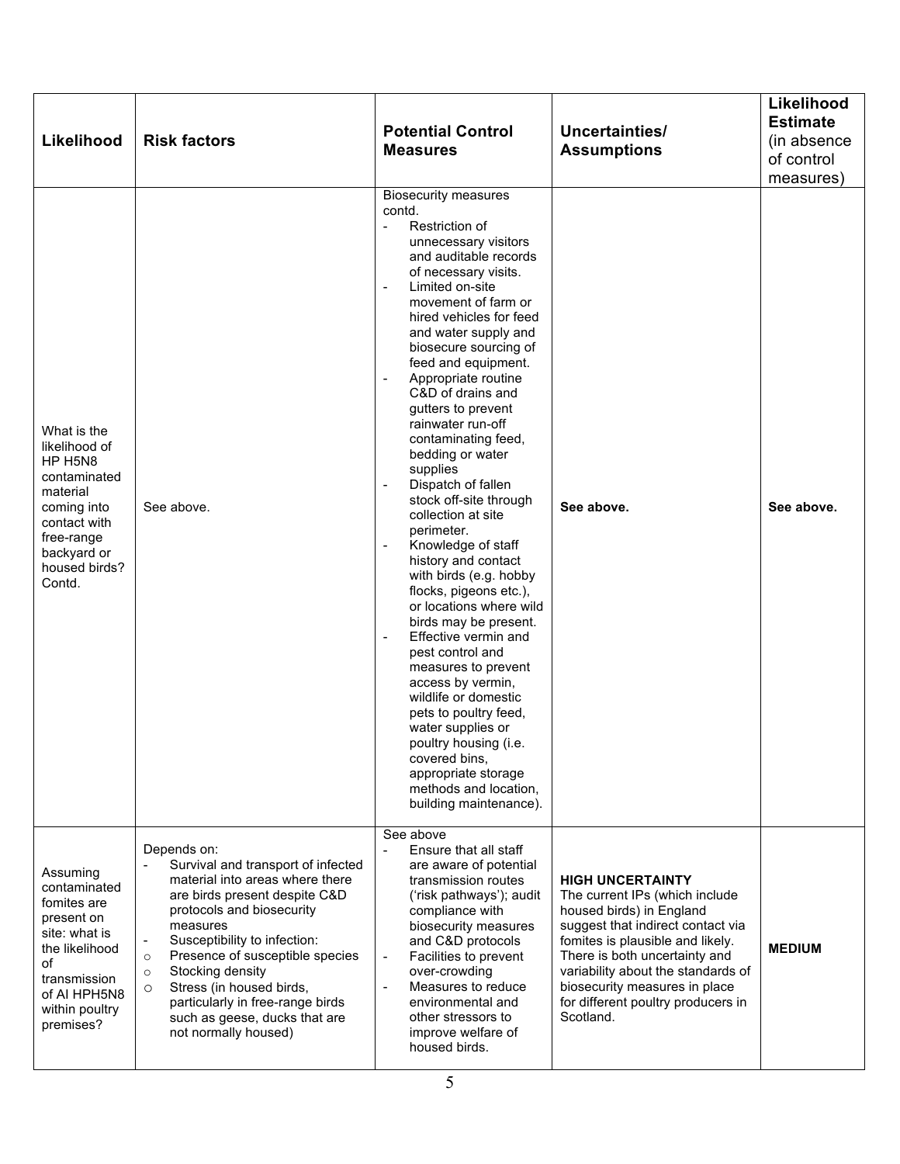| Likelihood                                                                                                                                                    | <b>Risk factors</b>                                                                                                                                                                                                                                                                                                                                                                                             | <b>Potential Control</b><br><b>Measures</b>                                                                                                                                                                                                                                                                                                                                                                                                                                                                                                                                                                                                                                                                                                                                                                                                                                                                                                                                                                                                                | Uncertainties/<br><b>Assumptions</b>                                                                                                                                                                                                                                                                                      | Likelihood<br><b>Estimate</b><br>(in absence<br>of control<br>measures) |
|---------------------------------------------------------------------------------------------------------------------------------------------------------------|-----------------------------------------------------------------------------------------------------------------------------------------------------------------------------------------------------------------------------------------------------------------------------------------------------------------------------------------------------------------------------------------------------------------|------------------------------------------------------------------------------------------------------------------------------------------------------------------------------------------------------------------------------------------------------------------------------------------------------------------------------------------------------------------------------------------------------------------------------------------------------------------------------------------------------------------------------------------------------------------------------------------------------------------------------------------------------------------------------------------------------------------------------------------------------------------------------------------------------------------------------------------------------------------------------------------------------------------------------------------------------------------------------------------------------------------------------------------------------------|---------------------------------------------------------------------------------------------------------------------------------------------------------------------------------------------------------------------------------------------------------------------------------------------------------------------------|-------------------------------------------------------------------------|
| What is the<br>likelihood of<br>HP H5N8<br>contaminated<br>material<br>coming into<br>contact with<br>free-range<br>backyard or<br>housed birds?<br>Contd.    | See above.                                                                                                                                                                                                                                                                                                                                                                                                      | <b>Biosecurity measures</b><br>contd.<br>Restriction of<br>$\mathbf{r}$<br>unnecessary visitors<br>and auditable records<br>of necessary visits.<br>Limited on-site<br>$\overline{\phantom{a}}$<br>movement of farm or<br>hired vehicles for feed<br>and water supply and<br>biosecure sourcing of<br>feed and equipment.<br>Appropriate routine<br>C&D of drains and<br>gutters to prevent<br>rainwater run-off<br>contaminating feed,<br>bedding or water<br>supplies<br>Dispatch of fallen<br>$\overline{\phantom{a}}$<br>stock off-site through<br>collection at site<br>perimeter.<br>Knowledge of staff<br>history and contact<br>with birds (e.g. hobby<br>flocks, pigeons etc.),<br>or locations where wild<br>birds may be present.<br>Effective vermin and<br>$\overline{\phantom{a}}$<br>pest control and<br>measures to prevent<br>access by vermin,<br>wildlife or domestic<br>pets to poultry feed,<br>water supplies or<br>poultry housing (i.e.<br>covered bins,<br>appropriate storage<br>methods and location,<br>building maintenance). | See above.                                                                                                                                                                                                                                                                                                                | See above.                                                              |
| Assuming<br>contaminated<br>fomites are<br>present on<br>site: what is<br>the likelihood<br>of<br>transmission<br>of AI HPH5N8<br>within poultry<br>premises? | Depends on:<br>Survival and transport of infected<br>material into areas where there<br>are birds present despite C&D<br>protocols and biosecurity<br>measures<br>Susceptibility to infection:<br>Presence of susceptible species<br>$\circ$<br>Stocking density<br>$\circ$<br>Stress (in housed birds,<br>$\circ$<br>particularly in free-range birds<br>such as geese, ducks that are<br>not normally housed) | See above<br>Ensure that all staff<br>are aware of potential<br>transmission routes<br>('risk pathways'); audit<br>compliance with<br>biosecurity measures<br>and C&D protocols<br>Facilities to prevent<br>$\overline{a}$<br>over-crowding<br>Measures to reduce<br>$\overline{\phantom{a}}$<br>environmental and<br>other stressors to<br>improve welfare of<br>housed birds.                                                                                                                                                                                                                                                                                                                                                                                                                                                                                                                                                                                                                                                                            | <b>HIGH UNCERTAINTY</b><br>The current IPs (which include<br>housed birds) in England<br>suggest that indirect contact via<br>fomites is plausible and likely.<br>There is both uncertainty and<br>variability about the standards of<br>biosecurity measures in place<br>for different poultry producers in<br>Scotland. | <b>MEDIUM</b>                                                           |